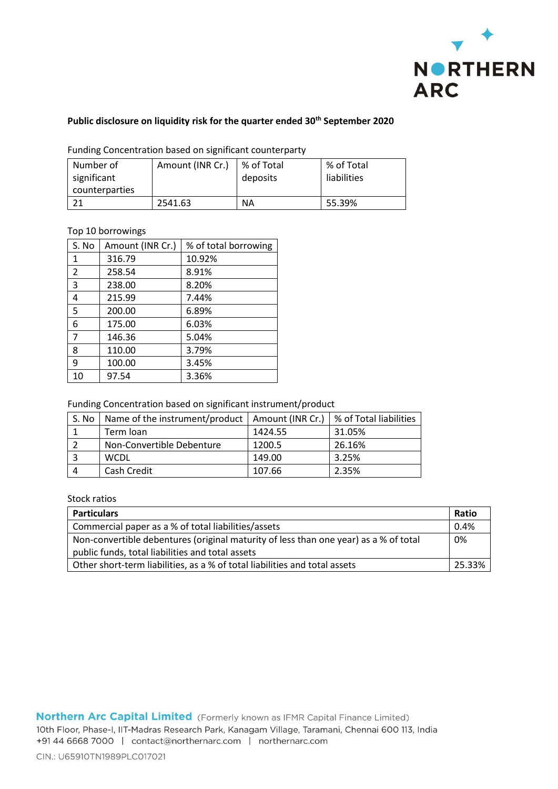

## **Public disclosure on liquidity risk for the quarter ended 30th September 2020**

| Number of      | Amount (INR Cr.) | % of Total | % of Total  |
|----------------|------------------|------------|-------------|
| significant    |                  | deposits   | liabilities |
| counterparties |                  |            |             |
|                | 2541.63          | <b>NA</b>  | 55.39%      |

Funding Concentration based on significant counterparty

## Top 10 borrowings

| S. No          | Amount (INR Cr.) | % of total borrowing |
|----------------|------------------|----------------------|
| 1              | 316.79           | 10.92%               |
| $\overline{2}$ | 258.54           | 8.91%                |
| 3              | 238.00           | 8.20%                |
| 4              | 215.99           | 7.44%                |
| 5              | 200.00           | 6.89%                |
| 6              | 175.00           | 6.03%                |
| $\overline{7}$ | 146.36           | 5.04%                |
| 8              | 110.00           | 3.79%                |
| 9              | 100.00           | 3.45%                |
| 10             | 97.54            | 3.36%                |

Funding Concentration based on significant instrument/product

| S. No | Name of the instrument/product | Amount (INR Cr.) | % of Total liabilities |
|-------|--------------------------------|------------------|------------------------|
|       | Term loan                      | 1424.55          | 31.05%                 |
|       | Non-Convertible Debenture      | 1200.5           | 26.16%                 |
|       | <b>WCDL</b>                    | 149.00           | 3.25%                  |
|       | Cash Credit                    | 107.66           | 2.35%                  |

## Stock ratios

| <b>Particulars</b>                                                                   | Ratio |
|--------------------------------------------------------------------------------------|-------|
| Commercial paper as a % of total liabilities/assets                                  |       |
| Non-convertible debentures (original maturity of less than one year) as a % of total |       |
| public funds, total liabilities and total assets                                     |       |
| Other short-term liabilities, as a % of total liabilities and total assets           | 2533% |